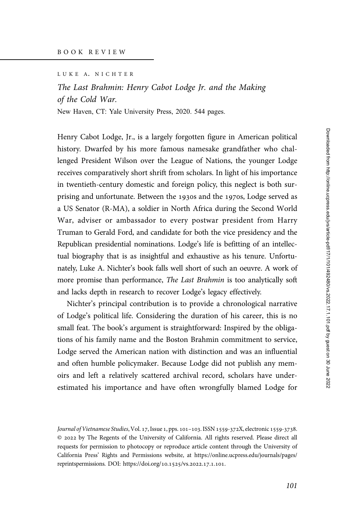LUKE A. NICHTER

## The Last Brahmin: Henry Cabot Lodge Jr. and the Making of the Cold War.

New Haven, CT: Yale University Press, 2020. 544 pages.

Henry Cabot Lodge, Jr., is a largely forgotten figure in American political history. Dwarfed by his more famous namesake grandfather who challenged President Wilson over the League of Nations, the younger Lodge receives comparatively short shrift from scholars. In light of his importance in twentieth-century domestic and foreign policy, this neglect is both surprising and unfortunate. Between the 1930s and the 1970s, Lodge served as a US Senator (R-MA), a soldier in North Africa during the Second World War, adviser or ambassador to every postwar president from Harry Truman to Gerald Ford, and candidate for both the vice presidency and the Republican presidential nominations. Lodge's life is befitting of an intellectual biography that is as insightful and exhaustive as his tenure. Unfortunately, Luke A. Nichter's book falls well short of such an oeuvre. A work of more promise than performance, The Last Brahmin is too analytically soft and lacks depth in research to recover Lodge's legacy effectively.

Nichter's principal contribution is to provide a chronological narrative of Lodge's political life. Considering the duration of his career, this is no small feat. The book's argument is straightforward: Inspired by the obligations of his family name and the Boston Brahmin commitment to service, Lodge served the American nation with distinction and was an influential and often humble policymaker. Because Lodge did not publish any memoirs and left a relatively scattered archival record, scholars have underestimated his importance and have often wrongfully blamed Lodge for

Journal of Vietnamese Studies, Vol. 17, Issue 1, pps. 101-103. ISSN 1559-372X, electronic 1559-3738. © by The Regents of the University of California. All rights reserved. Please direct all requests for permission to photocopy or reproduce article content through the University of California Press' Rights and Permissions website, at [https://online.ucpress.edu/journals/pages/](https://online.ucpress.edu/journals/pages/reprintspermissions) [reprintspermissions.](https://online.ucpress.edu/journals/pages/reprintspermissions) [DOI: https://doi.org/](https://doi.org/10.1525/vs.2022.17.1.101)10.1525/vs.2022.17.1.101.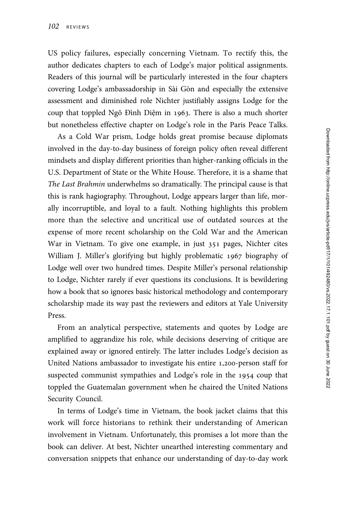US policy failures, especially concerning Vietnam. To rectify this, the author dedicates chapters to each of Lodge's major political assignments. Readers of this journal will be particularly interested in the four chapters covering Lodge's ambassadorship in Sài Gòn and especially the extensive assessment and diminished role Nichter justifiably assigns Lodge for the coup that toppled Ngô Đình Diệm in 1963. There is also a much shorter but nonetheless effective chapter on Lodge's role in the Paris Peace Talks.

As a Cold War prism, Lodge holds great promise because diplomats involved in the day-to-day business of foreign policy often reveal different mindsets and display different priorities than higher-ranking officials in the U.S. Department of State or the White House. Therefore, it is a shame that The Last Brahmin underwhelms so dramatically. The principal cause is that this is rank hagiography. Throughout, Lodge appears larger than life, morally incorruptible, and loyal to a fault. Nothing highlights this problem more than the selective and uncritical use of outdated sources at the expense of more recent scholarship on the Cold War and the American War in Vietnam. To give one example, in just 351 pages, Nichter cites William J. Miller's glorifying but highly problematic 1967 biography of Lodge well over two hundred times. Despite Miller's personal relationship to Lodge, Nichter rarely if ever questions its conclusions. It is bewildering how a book that so ignores basic historical methodology and contemporary scholarship made its way past the reviewers and editors at Yale University Press.

From an analytical perspective, statements and quotes by Lodge are amplified to aggrandize his role, while decisions deserving of critique are explained away or ignored entirely. The latter includes Lodge's decision as United Nations ambassador to investigate his entire 1,200-person staff for suspected communist sympathies and Lodge's role in the 1954 coup that toppled the Guatemalan government when he chaired the United Nations Security Council.

In terms of Lodge's time in Vietnam, the book jacket claims that this work will force historians to rethink their understanding of American involvement in Vietnam. Unfortunately, this promises a lot more than the book can deliver. At best, Nichter unearthed interesting commentary and conversation snippets that enhance our understanding of day-to-day work